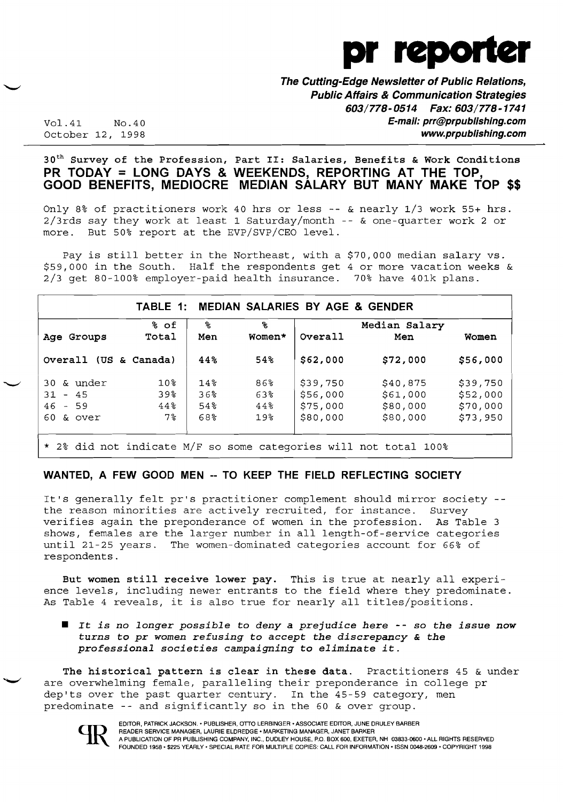

**The Cutting-Edge Newsletter of Public Relations, Public Affairs & Communication Strategies 603/778-0514 Fax: 603/778-1741**  Vol.41 NO.40 **E-mail: prr@prpublishing.com** 

October 12, 1998 **www.prpublishing.com** 

#### $30<sup>th</sup>$  Survey of the Profession, Part II: Salaries, Benefits & Work Conditions **PR TODAY = LONG DAYS & WEEKENDS, REPORTING AT THE TOP, GOOD BENEFITS, MEDIOCRE MEDIAN SALARY BUT MANY MAKE TOP \$\$**

Only 8% of practitioners work 40 hrs or less -- & nearly 1/3 work 55+ hrs. 2/3rds say they work at least 1 Saturday/month -- & one-quarter work 2 or more. But 50% report at the EVP/SVP/CEO level.

Pay is still better in the Northeast, with a \$70,000 median salary vs. \$59,000 in the South. Half the respondents get 4 or more vacation weeks & 2/3 get 80-100% employer-paid health insurance. 70% have 401k plans.

|                       | % of            | ዱ      | ቈ      |          | Median Salary |          |
|-----------------------|-----------------|--------|--------|----------|---------------|----------|
| Age Groups            | Total           | Men    | Women* | Overall  | Men           | Women    |
| Overall (US & Canada) |                 | 44%    | 54%    | \$62,000 | \$72,000      | \$56,000 |
| 30 & under            | 10 <sub>8</sub> | 14%    | 86%    | \$39,750 | \$40,875      | \$39,750 |
| $31 - 45$             | 39%             | 36%    | 63%    | \$56,000 | \$61,000      | \$52,000 |
| $46 - 59$             | $44\,$          | $54\%$ | $44\%$ | \$75,000 | \$80,000      | \$70,000 |
| $60$ & over           | 7 <sup>°</sup>  | 68%    | 19%    | \$80,000 | \$80,000      | \$73,950 |

#### **WANTED, A FEW GOOD MEN -- TO KEEP THE FIELD REFLECTING SOCIETY**

It's generally felt pr's practitioner complement should mirror society the reason minorities are actively recruited, for instance. Survey verifies again the preponderance of women in the profession. As Table 3 shows, females are the larger number in all length-of-service categories until 21-25 years. The women-dominated categories account for 66% of respondents.

But women still receive lower pay. This is true at nearly all experience levels, including newer entrants to the field where they predominate. As Table 4 reveals, it is also true for nearly all titles/positions .

 $\blacksquare$  It is no longer possible to deny a prejudice here -- so the issue now *turns* to *pr women refusing* to accept *the discrepancy* & *the professional societies campaigning* to *eliminate it.* 

The historical pattern is clear in these data. Practitioners 45 & under are overwhelming female, paralleling their preponderance in college pr dep'ts over the past quarter century. In the 45-59 category, men predominate -- and significantly so in the 60 & over group.

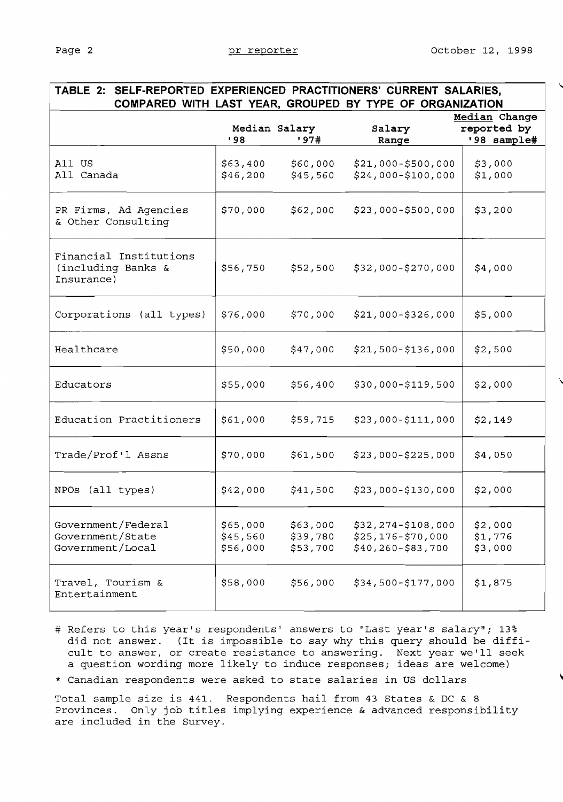| TABLE 2: SELF-REPORTED EXPERIENCED PRACTITIONERS' CURRENT SALARIES,<br>COMPARED WITH LAST YEAR, GROUPED BY TYPE OF ORGANIZATION |                                  |                                  |                                                                         |                                             |  |  |
|---------------------------------------------------------------------------------------------------------------------------------|----------------------------------|----------------------------------|-------------------------------------------------------------------------|---------------------------------------------|--|--|
|                                                                                                                                 | Median Salary<br>'98             | '97#                             | Salary<br>Range                                                         | Median Change<br>reported by<br>'98 sample# |  |  |
| All US<br>All Canada                                                                                                            | \$63,400<br>\$46,200             | \$60,000<br>\$45,560             | $$21,000 - $500,000$<br>$$24,000 - $100,000$                            | \$3,000<br>\$1,000                          |  |  |
| PR Firms, Ad Agencies<br>& Other Consulting                                                                                     | \$70,000                         | \$62,000                         | $$23,000 - $500,000$                                                    | \$3,200                                     |  |  |
| Financial Institutions<br>(including Banks &<br>Insurance)                                                                      | \$56,750                         | \$52,500                         | \$32,000-\$270,000                                                      | \$4,000                                     |  |  |
| Corporations (all types)                                                                                                        | \$76,000                         | \$70,000                         | $$21,000 - $326,000$                                                    | \$5,000                                     |  |  |
| Healthcare                                                                                                                      | \$50,000                         | \$47,000                         | $$21,500-$136,000$                                                      | \$2,500                                     |  |  |
| Educators                                                                                                                       | \$55,000                         | \$56,400                         | \$30,000-\$119,500                                                      | \$2,000                                     |  |  |
| Education Practitioners                                                                                                         | \$61,000                         | \$59,715                         | \$23,000-\$111,000                                                      | \$2,149                                     |  |  |
| Trade/Prof'l Assns                                                                                                              | \$70,000                         | \$61,500                         | $$23,000 - $225,000$                                                    | \$4,050                                     |  |  |
| NPOs (all types)                                                                                                                | \$42,000                         | \$41,500                         | $$23,000 - $130,000$                                                    | \$2,000                                     |  |  |
| Government/Federal<br>Government/State<br>Government/Local                                                                      | \$65,000<br>\$45,560<br>\$56,000 | \$63,000<br>\$39,780<br>\$53,700 | $$32, 274 - $108,000$<br>$$25, 176 - $70, 000$<br>$$40, 260 - $83, 700$ | \$2,000<br>\$1,776<br>\$3,000               |  |  |
| Travel, Tourism &<br>Entertainment                                                                                              | \$58,000                         | \$56,000                         | \$34,500-\$177,000                                                      | \$1,875                                     |  |  |

- # Refers to this year's respondents' answers to "Last year's salary"; 13% did not answer. (It is impossible to say why this query should be difficult to answer, or create resistance to answering. Next year we'll seek a question wording more likely to induce responses; ideas are welcome)
- \* Canadian respondents were asked to state salaries in US dollars

Total sample size is 441. Respondents hail from 43 States & DC & 8 Provinces. Only job titles implying experience & advanced responsibility are included in the Survey.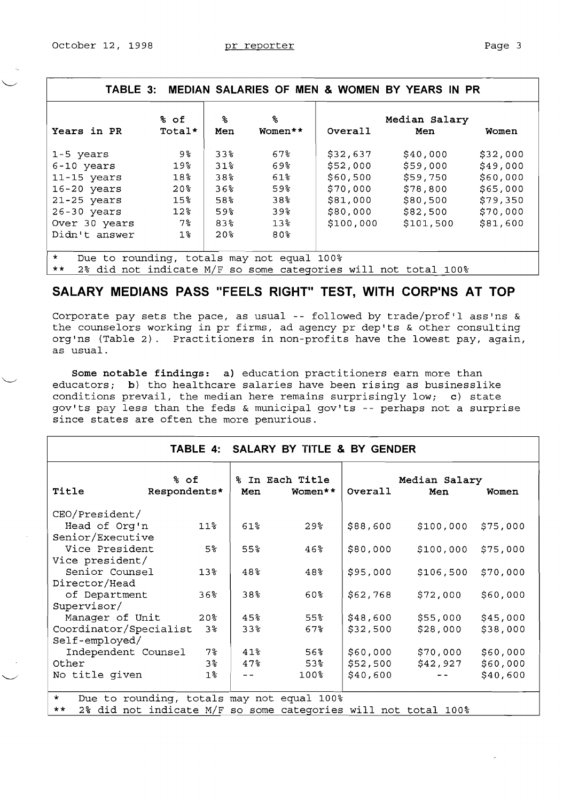| r. |  |
|----|--|
|    |  |

| TABLE 3: MEDIAN SALARIES OF MEN & WOMEN BY YEARS IN PR                 |                 |                 |                 |           |                                                                       |          |
|------------------------------------------------------------------------|-----------------|-----------------|-----------------|-----------|-----------------------------------------------------------------------|----------|
| Years in PR                                                            | % of<br>Total*  | ℁<br>Men        | ℅<br>Women**    | Overall   | Median Salary<br>Men                                                  | Women    |
|                                                                        |                 |                 |                 |           |                                                                       |          |
| 1-5 years                                                              | 9%              | $33\%$          | $67\%$          | \$32,637  | \$40,000                                                              | \$32,000 |
| $6 - 10$ years                                                         | 19 <sub>8</sub> | 31 <sup>2</sup> | 69%             | \$52,000  | \$59,000                                                              | \$49,000 |
| $11 - 15$ years                                                        | 18 <sup>°</sup> | 38%             | $61\%$          | \$60,500  | \$59,750                                                              | \$60,000 |
| $16 - 20$ years                                                        | 20 <sup>8</sup> | 36              | 59%             | \$70,000  | \$78,800                                                              | \$65,000 |
| $21-25$ years                                                          | 15%             | $58$ .          | 38 <sup>8</sup> | \$81,000  | \$80,500                                                              | \$79,350 |
| $26 - 30$ years                                                        | 12 <sup>8</sup> | 59%             | 39%             | \$80,000  | \$82,500                                                              | \$70,000 |
| Over 30 years                                                          | 7%              | 83%             | 13 <sup>8</sup> | \$100,000 | \$101,500                                                             | \$81,600 |
| Didn't answer                                                          | 1%              | 20 <sup>8</sup> | 80%             |           |                                                                       |          |
| $\star$<br>Due to rounding, totals may not equal 100%<br>المقدر المقدر |                 |                 |                 |           | AO 141 INSEE 4 INSEE AN ALLE IN THE THEORY IN THE LABOR IN THE LABOR. |          |

\*\* **2%** did not indicate M/F so some cateqories will not total 100%

## SALARY MEDIANS PASS "FEELS RIGHT" TEST, WITH CORP'NS AT TOP

Corporate pay sets the pace, as usual -- followed by trade/prof'l ass'ns & the counselors working in pr firms, ad agency pr dep'ts & other consulting org'ns (Table 2). Practitioners in non-profits have the lowest pay, again, as usual.

**Some notable findings: a)** education practitioners earn more than educators; b) tho healthcare salaries have been rising as businesslike conditions prevail, the median here remains surprisingly low; c) state gov'ts pay less than the feds & municipal gov'ts -- perhaps not a surprise since states are often the more penurious.

|                                                                         |                 |        | TABLE 4: SALARY BY TITLE & BY GENDER |          |                      |          |
|-------------------------------------------------------------------------|-----------------|--------|--------------------------------------|----------|----------------------|----------|
| % of<br>Title<br>Respondents*                                           |                 | Men    | % In Each Title<br>Women**           | Overall  | Median Salary<br>Men | Women    |
| CEO/President/                                                          |                 |        |                                      |          |                      |          |
| Head of Org'n                                                           | 11 <sup>°</sup> | $61\%$ | $29$ °                               | \$88,600 | \$100,000            | \$75,000 |
| Senior/Executive                                                        |                 |        |                                      |          |                      |          |
| Vice President                                                          | $5\%$           | 55%    | 46%                                  | \$80,000 | \$100,000            | \$75,000 |
| Vice president/                                                         |                 |        |                                      |          |                      |          |
| Senior Counsel                                                          | 13 <sup>8</sup> | 48%    | 48%                                  | \$95,000 | \$106,500            | \$70,000 |
| Director/Head                                                           |                 |        |                                      |          |                      |          |
| of Department                                                           | 36%             | 38%    | $60\%$                               | \$62,768 | \$72,000             | \$60,000 |
| Supervisor/                                                             |                 |        |                                      |          |                      |          |
| Manager of Unit                                                         | 20 <sup>o</sup> | 45%    | 55%                                  | \$48,600 | \$55,000             | \$45,000 |
| Coordinator/Specialist                                                  | 3%              | 33%    | 67%                                  | \$32,500 | \$28,000             | \$38,000 |
| Self-employed/                                                          |                 |        |                                      |          |                      |          |
| Independent Counsel                                                     | $7\,$           | 41.8   | 56                                   | \$60,000 | \$70,000             | \$60,000 |
| Other                                                                   | 3%              | 47%    | 53%                                  | \$52,500 | \$42,927             | \$60,000 |
| No title given                                                          | 1%              |        | $100\%$                              | \$40,600 |                      | \$40,600 |
| $\star$<br>Due to rounding, totals may not equal 100%                   |                 |        |                                      |          |                      |          |
| 2% did not indicate M/F so some categories will not total 100%<br>$***$ |                 |        |                                      |          |                      |          |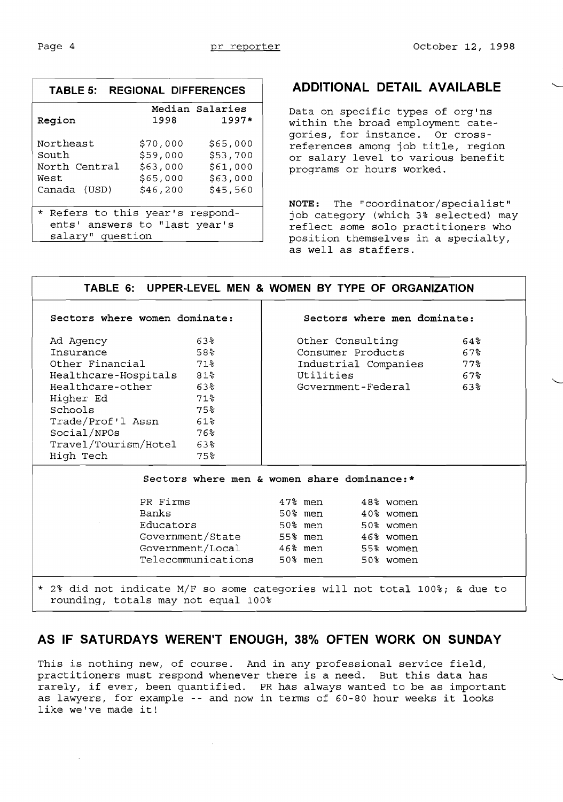| TABLE 5:                                                                              | <b>REGIONAL DIFFERENCES</b>                              |                                                          |  |  |
|---------------------------------------------------------------------------------------|----------------------------------------------------------|----------------------------------------------------------|--|--|
| Region                                                                                | 1998                                                     | Median Salaries<br>$1997*$                               |  |  |
| Northeast<br>South<br>North Central<br>West<br>Canada (USD)                           | \$70,000<br>\$59,000<br>\$63,000<br>\$65,000<br>\$46,200 | \$65,000<br>\$53,700<br>\$61,000<br>\$63,000<br>\$45,560 |  |  |
| * Refers to this year's respond-<br>ents' answers to "last year's<br>salary" question |                                                          |                                                          |  |  |

## **ADDITIONAL DETAIL AVAILABLE**

Data on specific types of org'ns within the broad employment categories, for instance. Or crossreferences among job title, region or salary level to various benefit programs or hours worked.

**NOTE:** The "coordinator/specialist" job category (which 3% selected) may reflect some solo practitioners who position themselves in a specialty, as well as staffers.

| TABLE 6: UPPER-LEVEL MEN & WOMEN BY TYPE OF ORGANIZATION                                                                                        |                                             |  |           |                   |                      |        |  |
|-------------------------------------------------------------------------------------------------------------------------------------------------|---------------------------------------------|--|-----------|-------------------|----------------------|--------|--|
| Sectors where women dominate:                                                                                                                   | Sectors where men dominate:                 |  |           |                   |                      |        |  |
| Ad Agency                                                                                                                                       | 63%                                         |  |           | Other Consulting  |                      | $64\%$ |  |
| Insurance                                                                                                                                       | 58%                                         |  |           |                   | Consumer Products    | 67%    |  |
| Other Financial 71%                                                                                                                             |                                             |  |           |                   | Industrial Companies | 77.8   |  |
| Healthcare-Hospitals 81%                                                                                                                        |                                             |  | Utilities |                   |                      | $67\%$ |  |
| Healthcare-other                                                                                                                                | $63\%$                                      |  |           |                   | Government-Federal   | 63%    |  |
| Higher Ed                                                                                                                                       | $71\%$                                      |  |           |                   |                      |        |  |
| Schools                                                                                                                                         | 75%                                         |  |           |                   |                      |        |  |
| Trade/Prof'l Assn                                                                                                                               | 61%                                         |  |           |                   |                      |        |  |
| Social/NPOs                                                                                                                                     | 76.                                         |  |           |                   |                      |        |  |
| Travel/Tourism/Hotel 63%                                                                                                                        |                                             |  |           |                   |                      |        |  |
| High Tech                                                                                                                                       | 75%                                         |  |           |                   |                      |        |  |
|                                                                                                                                                 | Sectors where men & women share dominance:* |  |           |                   |                      |        |  |
| PR Firms                                                                                                                                        |                                             |  |           | 47% men 48% women |                      |        |  |
| Banks                                                                                                                                           |                                             |  |           | 50% men 40% women |                      |        |  |
| Educators                                                                                                                                       |                                             |  | 50% men   |                   | 50% women            |        |  |
|                                                                                                                                                 | Government/State 55% men 46% women          |  |           |                   |                      |        |  |
|                                                                                                                                                 | Government/Local 46% men 55% women          |  |           |                   |                      |        |  |
|                                                                                                                                                 |                                             |  |           |                   | 50% women            |        |  |
| Telecommunications 50% men<br>* 2% did not indicate M/F so some categories will not total 100%; & due to<br>rounding, totals may not equal 100% |                                             |  |           |                   |                      |        |  |

### **AS IF SATURDAYS WEREN'T ENOUGH, 38% OFTEN WORK ON SUNDAY**

This is nothing new, of course. And in any professional service field, practitioners must respond whenever there is a need. But this data has rarely, if ever, been quantified. PR has always wanted to be as important as lawyers, for example -- and now in terms of 60-80 hour weeks it looks like we've made it!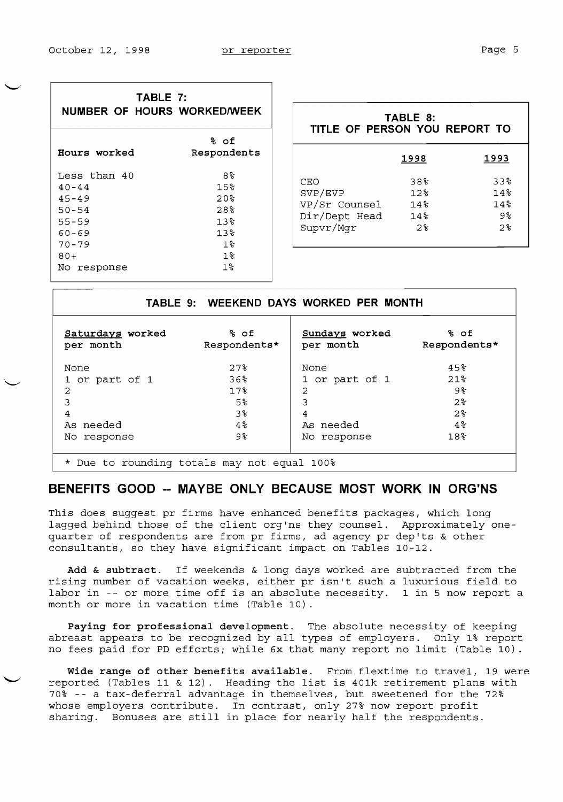|--|--|

| TABLE 7:<br>NUMBER OF HOURS WORKED/WEEK                                                                            |                                                                                      |
|--------------------------------------------------------------------------------------------------------------------|--------------------------------------------------------------------------------------|
| Hours worked                                                                                                       | % of<br>Respondents                                                                  |
| Less than 40<br>$40 - 44$<br>$45 - 49$<br>$50 - 54$<br>$55 - 59$<br>$60 - 69$<br>$70 - 79$<br>$80+$<br>No response | 8%<br>15%<br>$20$ s<br>28.8<br>13%<br>$13$ $\,^{\circ}$<br>$1$ $\approx$<br>1%<br>1% |

| TABLE 8:<br>TITLE OF PERSON YOU REPORT TO                     |                                              |                                  |  |  |  |
|---------------------------------------------------------------|----------------------------------------------|----------------------------------|--|--|--|
|                                                               | 1998                                         | 1993                             |  |  |  |
| CEO<br>SVP/EVP<br>VP/Sr Counsel<br>Dir/Dept Head<br>Supvr/Mqr | 38%<br>12.8<br>14 <sup>°</sup><br>14%<br>2.8 | 338<br>14%<br>14%<br>୨%<br>$2$ . |  |  |  |

|                                                 |                      | TABLE 9: WEEKEND DAYS WORKED PER MONTH |                      |  |  |
|-------------------------------------------------|----------------------|----------------------------------------|----------------------|--|--|
| Saturdays worked<br>per month                   | % of<br>Respondents* | Sundays worked<br>per month            | % of<br>Respondents* |  |  |
| None                                            | 27 <sup>8</sup>      | None                                   | 45%                  |  |  |
| 1 or part of 1                                  | $36\%$               | 1 or part of 1                         | 21%                  |  |  |
| 2                                               | 17 <sup>8</sup>      | $\overline{a}$                         | 9%                   |  |  |
| 3                                               | $5\%$                | 3                                      | 2 <sup>o</sup>       |  |  |
| 4                                               | 3%                   | 4                                      | $2\,$                |  |  |
| As needed                                       | $4\,$                | As needed                              | $4\,$                |  |  |
| response<br>No.                                 | 9%                   | No response                            | 18%                  |  |  |
| Due to rounding totals may not equal 100%<br>*. |                      |                                        |                      |  |  |

## **BENEFITS GOOD -- MAYBE ONLY BECAUSE MOST WORK IN ORG'NS**

This does suggest pr firms have enhanced benefits packages, which long lagged behind those of the client org'ns they counsel. Approximately onequarter of respondents are from pr firms, ad agency pr dep'ts & other consultants, so they have significant impact on Tables 10-12.

**Add & subtract.** If weekends & long days worked are subtracted from the rising number of vacation weeks, either pr isn't such a luxurious field to labor in -- or more time off is an absolute necessity. 1 in 5 now report a month or more in vacation time (Table 10).

**Paying for professional development.** The absolute necessity of keeping abreast appears to be recognized by all types of employers. Only 1% report no fees paid for PD efforts; while 6x that many report no limit (Table 10).

**Wide range of other benefits available.** From flextime to travel, 19 were reported (Tables 11 & 12). Heading the list is 401k retirement plans with 70% -- a tax-deferral advantage in themselves, but sweetened for the 72% whose employers contribute. In contrast, only 27% now report profit sharing. Bonuses are still in place for nearly half the respondents.